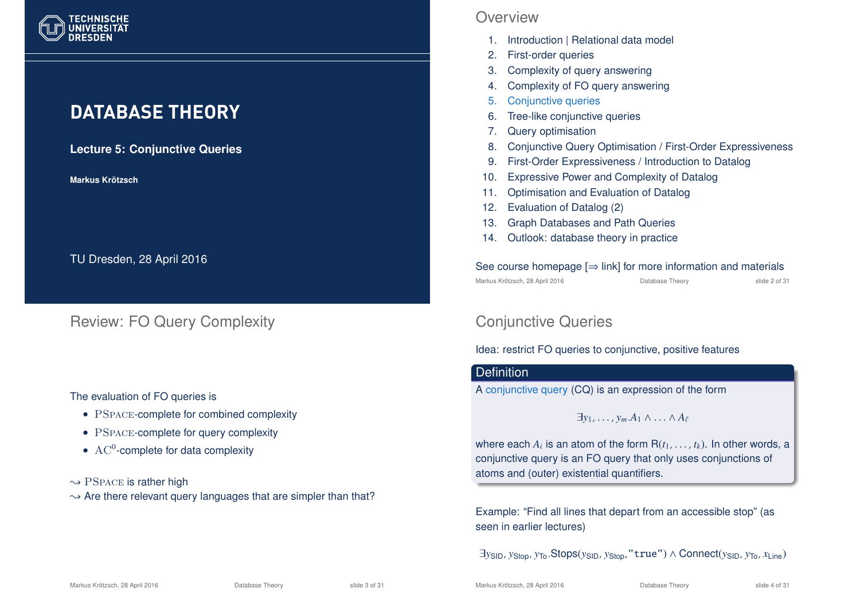

# **DATABASE THEORY**

**Lecture 5: Conjunctive Queries**

**Markus Krotzsch ¨**

TU Dresden, 28 April 2016

Review: FO Query Complexity

#### The evaluation of FO queries is

- PSPACE-complete for combined complexity
- PSPACE-complete for query complexity
- $AC^0$ -complete for data complexity

 $\rightarrow$  PSPACE is rather high

 $\rightarrow$  Are there relevant query languages that are simpler than that?

### **Overview**

- 1. Introduction | Relational data model
- 2. First-order queries
- 3. Complexity of query answering
- 4. Complexity of FO query answering
- 5. Conjunctive queries
- 6. Tree-like conjunctive queries
- 7. Query optimisation
- 8. Conjunctive Query Optimisation / First-Order Expressiveness
- 9. First-Order Expressiveness / Introduction to Datalog
- 10. Expressive Power and Complexity of Datalog
- 11. Optimisation and Evaluation of Datalog
- 12. Evaluation of Datalog (2)
- 13. Graph Databases and Path Queries
- 14. Outlook: database theory in practice

#### See course homepage  $[\Rightarrow$  link] for more information and materials Markus Krötzsch, 28 April 2016 Database Theory slide 2 of 31

# Conjunctive Queries

### Idea: restrict FO queries to conjunctive, positive features

### **Definition**

A conjunctive query (CQ) is an expression of the form

 $\exists v_1, \ldots, v_m, A_1 \wedge \ldots \wedge A_\ell$ 

where each  $A_i$  is an atom of the form  $\mathsf{R}(t_1,\ldots,t_k).$  In other words, a conjunctive query is an FO query that only uses conjunctions of atoms and (outer) existential quantifiers.

Example: "Find all lines that depart from an accessible stop" (as seen in earlier lectures)

∃*y*SID, *y*Stop, *y*To.Stops(*y*SID, *y*Stop,"true") ∧ Connect(*y*SID, *y*To, *x*Line)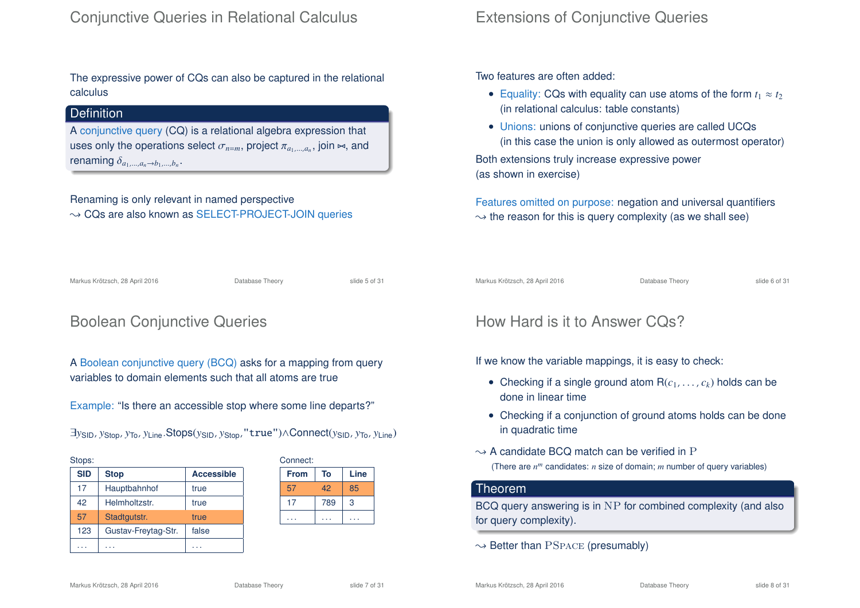The expressive power of CQs can also be captured in the relational calculus

### **Definition**

A conjunctive query (CQ) is a relational algebra expression that uses only the operations select  $\sigma_{n=m},$  project  $\pi_{a_1,...,a_n},$  join  $\Join$ , and renaming  $\delta_{a_1,...,a_n\to b_1,...,b_n}$ .

Renaming is only relevant in named perspective  $\rightarrow$  CQs are also known as SELECT-PROJECT-JOIN queries

## Extensions of Conjunctive Queries

Two features are often added:

- Equality: CQs with equality can use atoms of the form  $t_1 \approx t_2$ (in relational calculus: table constants)
- Unions: unions of conjunctive queries are called UCQs (in this case the union is only allowed as outermost operator) Both extensions truly increase expressive power (as shown in exercise)

Features omitted on purpose: negation and universal quantifiers  $\rightarrow$  the reason for this is query complexity (as we shall see)

Markus Krötzsch, 28 April 2016 Database Theory slide 5 of 31

# Boolean Conjunctive Queries

A Boolean conjunctive query (BCQ) asks for a mapping from query variables to domain elements such that all atoms are true

Example: "Is there an accessible stop where some line departs?"

| $\exists$ ysın, ystop, y $\tau$ o, y $\iota$ ine. $\mathsf{Stops}(y_\mathsf{SID}$ , y $\mathsf{Stop}, \texttt{''true''})$ $\land \mathsf{Connect}(y_\mathsf{SID}, y_\mathsf{To}, y_\mathsf{Line})$ |  |
|----------------------------------------------------------------------------------------------------------------------------------------------------------------------------------------------------|--|
|----------------------------------------------------------------------------------------------------------------------------------------------------------------------------------------------------|--|

| Stops:     |                     |                   |
|------------|---------------------|-------------------|
| <b>SID</b> | <b>Stop</b>         | <b>Accessible</b> |
| 17         | Hauptbahnhof        | true              |
| 42         | Helmholtzstr.       | true              |
| 57         | Stadtgutstr.        | true              |
| 123        | Gustav-Freytag-Str. | false             |
|            |                     |                   |

| Connect:    |     |      |
|-------------|-----|------|
| <b>From</b> | To  | Line |
| 57          | 42  | 85   |
| 17          | 789 | 3    |
|             |     |      |
|             |     |      |

Markus Krötzsch, 28 April 2016 Database Theory slide 6 of 31

## How Hard is it to Answer CQs?

If we know the variable mappings, it is easy to check:

- Checking if a single ground atom  $R(c_1, \ldots, c_k)$  holds can be done in linear time
- Checking if a conjunction of ground atoms holds can be done in quadratic time
- $\rightarrow$  A candidate BCQ match can be verified in P (There are *n <sup>m</sup>* candidates: *n* size of domain; *m* number of query variables)

#### Theorem

BCQ query answering is in NP for combined complexity (and also for query complexity).

 $\rightarrow$  Better than PSPACE (presumably)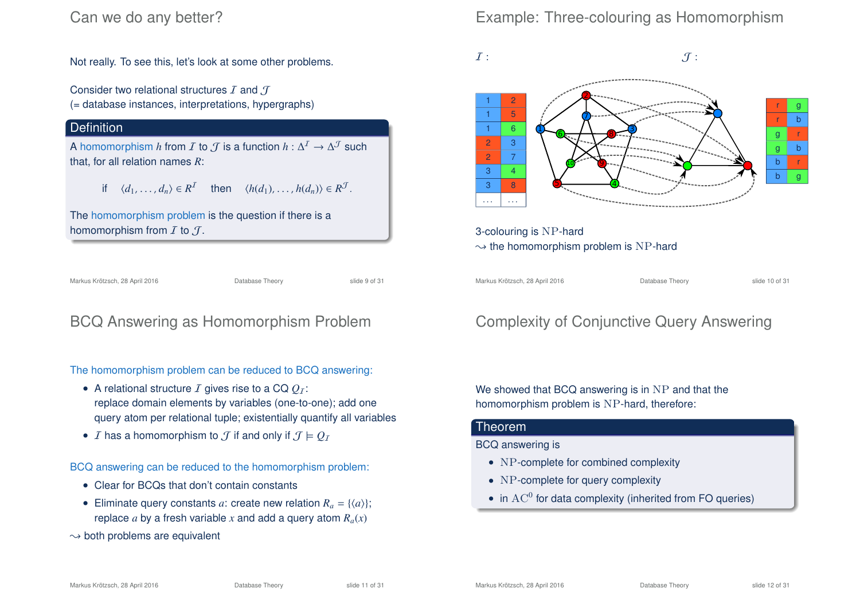## Can we do any better?

Not really. To see this, let's look at some other problems.

Consider two relational structures  $I$  and  $J$ (= database instances, interpretations, hypergraphs)

### **Definition**

A homomorphism *h* from *I* to  $\mathcal{J}$  is a function  $h: \Delta^{\mathcal{I}} \to \Delta^{\mathcal{J}}$  such that, for all relation names *R*:

$$
\text{if } \langle d_1, \ldots, d_n \rangle \in R^{\mathcal{I}} \quad \text{then } \langle h(d_1), \ldots, h(d_n) \rangle \in R^{\mathcal{I}}.
$$

The homomorphism problem is the question if there is a homomorphism from  $I$  to  $J$ .

Markus Krötzsch, 28 April 2016 Database Theory slide 9 of 31

# BCQ Answering as Homomorphism Problem

The homomorphism problem can be reduced to BCQ answering:

- A relational structure  $I$  gives rise to a CQ  $Q_I$ : replace domain elements by variables (one-to-one); add one query atom per relational tuple; existentially quantify all variables
- *I* has a homomorphism to  $\mathcal{T}$  if and only if  $\mathcal{T} \models \mathcal{O}_\mathcal{T}$

BCQ answering can be reduced to the homomorphism problem:

- Clear for BCQs that don't contain constants
- Eliminate query constants *a*: create new relation  $R_a = \{ \langle a \rangle \}$ ; replace *a* by a fresh variable *x* and add a query atom  $R_a(x)$
- $\rightarrow$  both problems are equivalent

# Example: Three-colouring as Homomorphism



# Complexity of Conjunctive Query Answering

We showed that BCQ answering is in NP and that the homomorphism problem is NP-hard, therefore:

#### Theorem

BCQ answering is

- NP-complete for combined complexity
- NP-complete for query complexity
- in  $AC^0$  for data complexity (inherited from FO queries)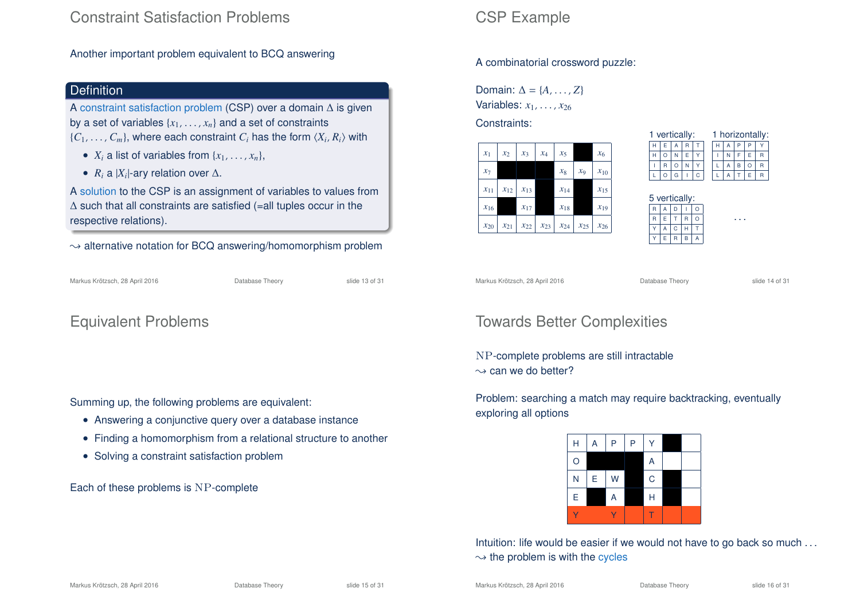## Constraint Satisfaction Problems

Another important problem equivalent to BCQ answering

### **Definition**

A constraint satisfaction problem (CSP) over a domain ∆ is given by a set of variables  $\{x_1, \ldots, x_n\}$  and a set of constraints  $\{C_1, \ldots, C_m\}$ , where each constraint  $C_i$  has the form  $\langle X_i, R_i \rangle$  with

- $X_i$  a list of variables from  $\{x_1, \ldots, x_n\}$ ,
- $R_i$  a  $|X_i|$ -ary relation over  $\Delta$ .

A solution to the CSP is an assignment of variables to values from ∆ such that all constraints are satisfied (=all tuples occur in the respective relations).

 $\rightarrow$  alternative notation for BCQ answering/homomorphism problem

| Markus Krötzsch, 28 April 2016 |  |  |  |
|--------------------------------|--|--|--|
|--------------------------------|--|--|--|

Database Theory slide 13 of 31

## Equivalent Problems

Summing up, the following problems are equivalent:

- Answering a conjunctive query over a database instance
- Finding a homomorphism from a relational structure to another
- Solving a constraint satisfaction problem

Each of these problems is NP-complete

### CSP Example

A combinatorial crossword puzzle:

Domain:  $\Delta = \{A, \ldots, Z\}$ Variables: *x*1, . . . , *x*<sup>26</sup>

Constraints:



| vertically: |   |  |   |  | 1 horizontally: |  |  |   |  |
|-------------|---|--|---|--|-----------------|--|--|---|--|
|             | А |  |   |  |                 |  |  |   |  |
|             |   |  |   |  |                 |  |  |   |  |
|             |   |  |   |  |                 |  |  |   |  |
|             |   |  | C |  |                 |  |  | F |  |

| 5 vertically: |   |              |   |   |  |
|---------------|---|--------------|---|---|--|
| R             | A | D            |   | O |  |
| R             | E |              | R | Ω |  |
|               | A | $\mathsf{C}$ | н |   |  |
|               | E | R            | B | Α |  |

. . .

Markus Krötzsch, 28 April 2016 **Database Theory** Slide 14 of 31

# Towards Better Complexities

NP-complete problems are still intractable  $\sim$  can we do better?

Problem: searching a match may require backtracking, eventually exploring all options

| H | Α | P | P | Ý           |  |
|---|---|---|---|-------------|--|
| O |   |   |   | A           |  |
| N | E | W |   | $\mathsf C$ |  |
| E |   | A |   | Н           |  |
|   |   |   |   |             |  |

Intuition: life would be easier if we would not have to go back so much ...  $\rightsquigarrow$  the problem is with the cycles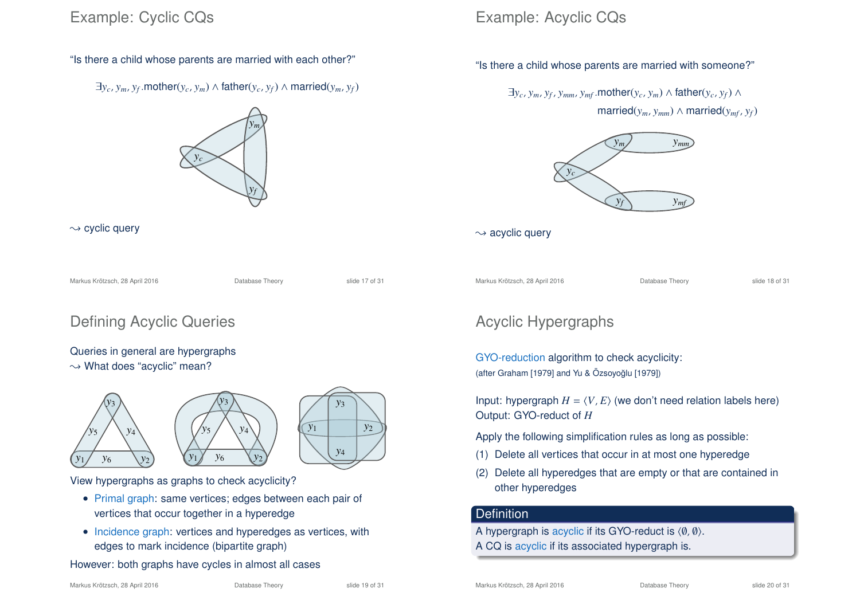## Example: Cyclic CQs



 $\exists y_c, y_m, y_f$ .mother( $y_c, y_m$ ) ∧ father( $y_c, y_f$ ) ∧ married( $y_m, y_f$ )



 $\sim$  cyclic query

Markus Krötzsch, 28 April 2016 **Database Theory** Slide 17 of 31

# Defining Acyclic Queries

#### Queries in general are hypergraphs  $\rightarrow$  What does "acyclic" mean?





View hypergraphs as graphs to check acyclicity?

- Primal graph: same vertices; edges between each pair of vertices that occur together in a hyperedge
- Incidence graph: vertices and hyperedges as vertices, with edges to mark incidence (bipartite graph)

#### However: both graphs have cycles in almost all cases

#### Markus Krötzsch, 28 April 2016 **Database Theory** Slide 20 of 31

# Example: Acyclic CQs

"Is there a child whose parents are married with someone?"

 $\exists y_c, y_m, y_f, y_{mm}, y_{mf}$ .mother( $y_c, y_m$ ) ∧ father( $y_c, y_f$ ) ∧

 $\text{married}(y_m, y_{mm}) \wedge \text{married}(y_{mf}, y_f)$ 



 $\sim$  acyclic query

Markus Krötzsch, 28 April 2016 **Database Theory** Slide 18 of 31

## Acyclic Hypergraphs

GYO-reduction algorithm to check acyclicity: (after Graham [1979] and Yu & Özsoyoğlu [1979])

Input: hypergraph  $H = \langle V, E \rangle$  (we don't need relation labels here) Output: GYO-reduct of *H*

Apply the following simplification rules as long as possible:

- (1) Delete all vertices that occur in at most one hyperedge
- (2) Delete all hyperedges that are empty or that are contained in other hyperedges

#### **Definition**

A hypergraph is acyclic if its GYO-reduct is  $\langle \emptyset, \emptyset \rangle$ . A CQ is acyclic if its associated hypergraph is.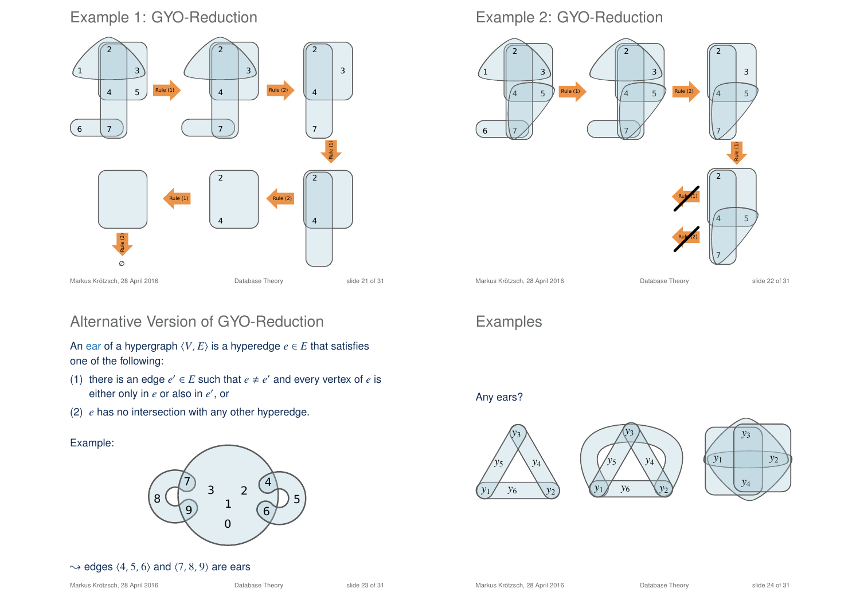## Example 1: GYO-Reduction



## Alternative Version of GYO-Reduction

An ear of a hypergraph  $\langle V, E \rangle$  is a hyperedge  $e \in E$  that satisfies one of the following:

- (1) there is an edge  $e' \in E$  such that  $e \neq e'$  and every vertex of  $e$  is either only in *e* or also in *e'*, or
- (2) *e* has no intersection with any other hyperedge.

Example:



#### $\rightarrow$  edges  $\langle 4, 5, 6 \rangle$  and  $\langle 7, 8, 9 \rangle$  are ears

### Example 2: GYO-Reduction



# Examples

Any ears?





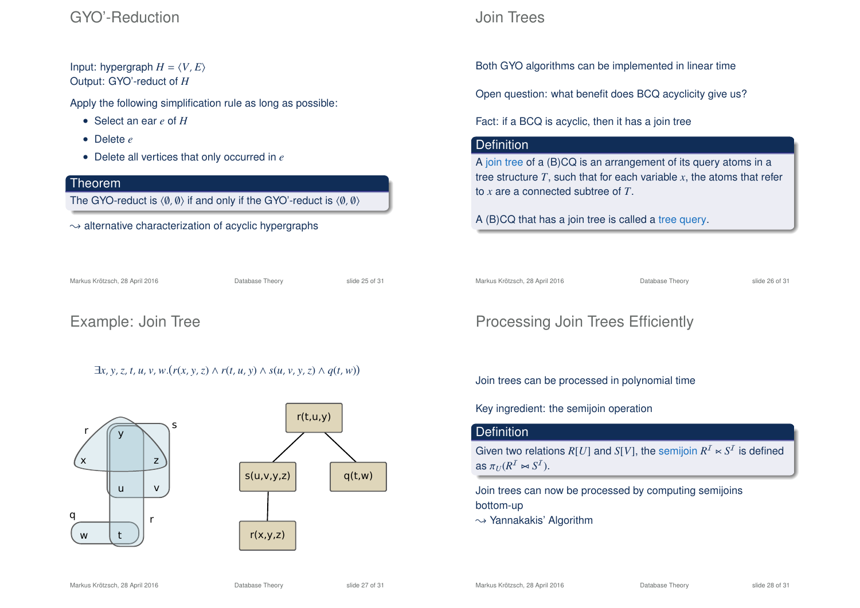## GYO'-Reduction

Input: hypergraph  $H = \langle V, E \rangle$ Output: GYO'-reduct of *H*

Apply the following simplification rule as long as possible:

- Select an ear *e* of *H*
- Delete *e*
- Delete all vertices that only occurred in *e*

#### Theorem

The GYO-reduct is  $\langle \emptyset, \emptyset \rangle$  if and only if the GYO'-reduct is  $\langle \emptyset, \emptyset \rangle$ 

 $\rightarrow$  alternative characterization of acyclic hypergraphs

Markus Krötzsch, 28 April 2016 **Database Theory** Slide 25 of 31

## Example: Join Tree

## $\exists x, y, z, t, u, v, w.(r(x, y, z) \land r(t, u, y) \land s(u, v, y, z) \land q(t, w))$



## Join Trees

Both GYO algorithms can be implemented in linear time

Open question: what benefit does BCQ acyclicity give us?

Fact: if a BCQ is acyclic, then it has a join tree

### **Definition**

A join tree of a (B)CQ is an arrangement of its query atoms in a tree structure  $T$ , such that for each variable  $x$ , the atoms that refer to *x* are a connected subtree of *T*.

A (B)CQ that has a join tree is called a tree query.

Markus Krötzsch, 28 April 2016 **Database Theory** Slide 26 of 31

# Processing Join Trees Efficiently

#### Join trees can be processed in polynomial time

Key ingredient: the semijoin operation

### **Definition**

Given two relations  $R[U]$  and  $S[V]$ , the semijoin  $R^I\ltimes S^I$  is defined as  $\pi_U(R^1 \bowtie S^1)$ .

Join trees can now be processed by computing semijoins bottom-up

 $\rightarrow$  Yannakakis' Algorithm